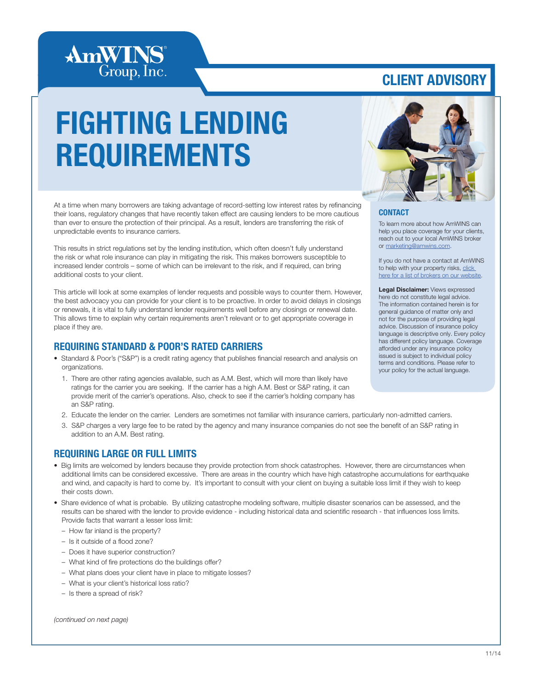

### CLIENT ADVISORY

# FIGHTING LENDING REQUIREMENTS



#### **CONTACT**

To learn more about how AmWINS can help you place coverage for your clients, reach out to your local AmWINS broker or [marketing@amwins.com](mailto:marketing%40amwins.com?subject=).

If you do not have a contact at AmWINS to help with your property risks, click [here for a list of brokers on our website.](http://amwins.com/SearchCenter/Pages/ContactSearch.aspx?k=property)

Legal Disclaimer: Views expressed here do not constitute legal advice. The information contained herein is for general guidance of matter only and not for the purpose of providing legal advice. Discussion of insurance policy language is descriptive only. Every policy has different policy language. Coverage afforded under any insurance policy issued is subject to individual policy terms and conditions. Please refer to your policy for the actual language.

At a time when many borrowers are taking advantage of record-setting low interest rates by refinancing their loans, regulatory changes that have recently taken effect are causing lenders to be more cautious than ever to ensure the protection of their principal. As a result, lenders are transferring the risk of unpredictable events to insurance carriers.

This results in strict regulations set by the lending institution, which often doesn't fully understand the risk or what role insurance can play in mitigating the risk. This makes borrowers susceptible to increased lender controls – some of which can be irrelevant to the risk, and if required, can bring additional costs to your client.

This article will look at some examples of lender requests and possible ways to counter them. However, the best advocacy you can provide for your client is to be proactive. In order to avoid delays in closings or renewals, it is vital to fully understand lender requirements well before any closings or renewal date. This allows time to explain why certain requirements aren't relevant or to get appropriate coverage in place if they are.

### REQUIRING STANDARD & POOR'S RATED CARRIERS

- Standard & Poor's ("S&P") is a credit rating agency that publishes financial research and analysis on organizations.
	- 1. There are other rating agencies available, such as A.M. Best, which will more than likely have ratings for the carrier you are seeking. If the carrier has a high A.M. Best or S&P rating, it can provide merit of the carrier's operations. Also, check to see if the carrier's holding company has an S&P rating.
	- 2. Educate the lender on the carrier. Lenders are sometimes not familiar with insurance carriers, particularly non-admitted carriers.
	- 3. S&P charges a very large fee to be rated by the agency and many insurance companies do not see the benefit of an S&P rating in addition to an A.M. Best rating.

### REQUIRING LARGE OR FULL LIMITS

- Big limits are welcomed by lenders because they provide protection from shock catastrophes. However, there are circumstances when additional limits can be considered excessive. There are areas in the country which have high catastrophe accumulations for earthquake and wind, and capacity is hard to come by. It's important to consult with your client on buying a suitable loss limit if they wish to keep their costs down.
- Share evidence of what is probable. By utilizing catastrophe modeling software, multiple disaster scenarios can be assessed, and the results can be shared with the lender to provide evidence - including historical data and scientific research - that influences loss limits. Provide facts that warrant a lesser loss limit:
	- How far inland is the property?
	- Is it outside of a flood zone?
	- Does it have superior construction?
	- What kind of fire protections do the buildings offer?
	- What plans does your client have in place to mitigate losses?
	- What is your client's historical loss ratio?
	- Is there a spread of risk?

*(continued on next page)*